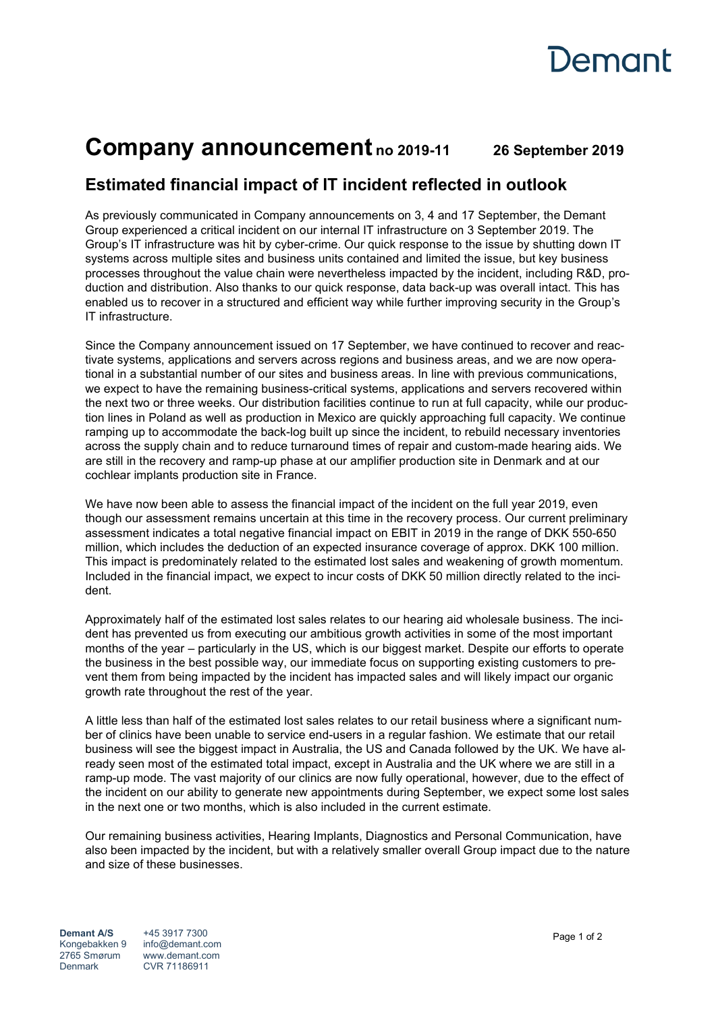

## **Company announcement no 2019-11 26 September 2019**

## **Estimated financial impact of IT incident reflected in outlook**

As previously communicated in Company announcements on 3, 4 and 17 September, the Demant Group experienced a critical incident on our internal IT infrastructure on 3 September 2019. The Group's IT infrastructure was hit by cyber-crime. Our quick response to the issue by shutting down IT systems across multiple sites and business units contained and limited the issue, but key business processes throughout the value chain were nevertheless impacted by the incident, including R&D, production and distribution. Also thanks to our quick response, data back-up was overall intact. This has enabled us to recover in a structured and efficient way while further improving security in the Group's IT infrastructure.

Since the Company announcement issued on 17 September, we have continued to recover and reactivate systems, applications and servers across regions and business areas, and we are now operational in a substantial number of our sites and business areas. In line with previous communications, we expect to have the remaining business-critical systems, applications and servers recovered within the next two or three weeks. Our distribution facilities continue to run at full capacity, while our production lines in Poland as well as production in Mexico are quickly approaching full capacity. We continue ramping up to accommodate the back-log built up since the incident, to rebuild necessary inventories across the supply chain and to reduce turnaround times of repair and custom-made hearing aids. We are still in the recovery and ramp-up phase at our amplifier production site in Denmark and at our cochlear implants production site in France.

We have now been able to assess the financial impact of the incident on the full year 2019, even though our assessment remains uncertain at this time in the recovery process. Our current preliminary assessment indicates a total negative financial impact on EBIT in 2019 in the range of DKK 550-650 million, which includes the deduction of an expected insurance coverage of approx. DKK 100 million. This impact is predominately related to the estimated lost sales and weakening of growth momentum. Included in the financial impact, we expect to incur costs of DKK 50 million directly related to the incident.

Approximately half of the estimated lost sales relates to our hearing aid wholesale business. The incident has prevented us from executing our ambitious growth activities in some of the most important months of the year – particularly in the US, which is our biggest market. Despite our efforts to operate the business in the best possible way, our immediate focus on supporting existing customers to prevent them from being impacted by the incident has impacted sales and will likely impact our organic growth rate throughout the rest of the year.

A little less than half of the estimated lost sales relates to our retail business where a significant number of clinics have been unable to service end-users in a regular fashion. We estimate that our retail business will see the biggest impact in Australia, the US and Canada followed by the UK. We have already seen most of the estimated total impact, except in Australia and the UK where we are still in a ramp-up mode. The vast majority of our clinics are now fully operational, however, due to the effect of the incident on our ability to generate new appointments during September, we expect some lost sales in the next one or two months, which is also included in the current estimate.

Our remaining business activities, Hearing Implants, Diagnostics and Personal Communication, have also been impacted by the incident, but with a relatively smaller overall Group impact due to the nature and size of these businesses.